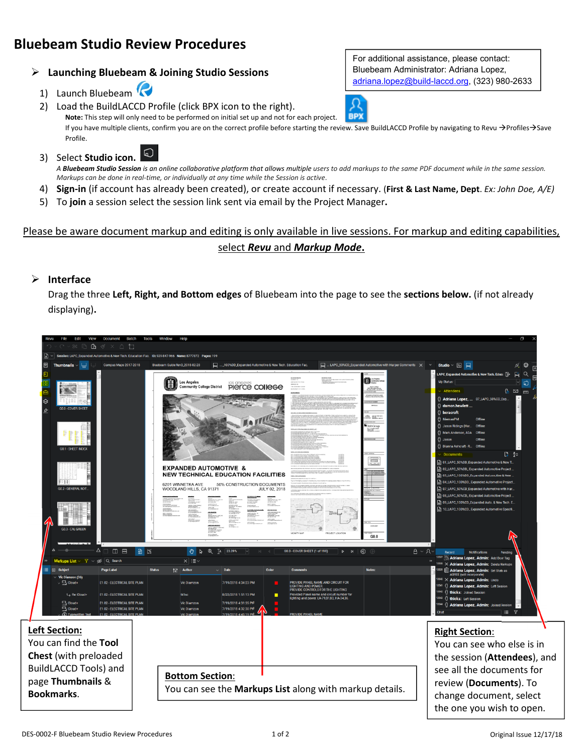# **Bluebeam Studio Review Procedures**

# **Launching Bluebeam & Joining Studio Sessions**

- 1) Launch Bluebeam
- 2) Load the BuildLACCD Profile (click BPX icon to the right). **Note:** This step will only need to be performed on initial set up and not for each project.

If you have multiple clients, confirm you are on the correct profile before starting the review. Save BuildLACCD Profile by navigating to Revu →Profiles→Save Profile.

**BPX** 

3) Select **Studio icon.**

*A Bluebeam Studio Session is an online collaborative platform that allows multiple users to add markups to the same PDF document while in the same session. Markups can be done in real-time, or individually at any time while the Session is active*.

- 4) **Sign-in** (if account has already been created), or create account if necessary. (**First & Last Name, Dept**. *Ex: John Doe, A/E)*
- 5) To **join** a session select the session link sent via email by the Project Manager**.**

# Please be aware document markup and editing is only available in live sessions. For markup and editing capabilities, select *Revu* and *Markup Mode***.**

### **Interface**

Drag the three **Left, Right, and Bottom edges** of Bluebeam into the page to see the **sections below.** (if not already displaying)**.**



Bluebeam Administrator: Adriana Lopez, adriana.lopez@build-laccd.org, (323) 980-2633

For additional assistance, please contact: